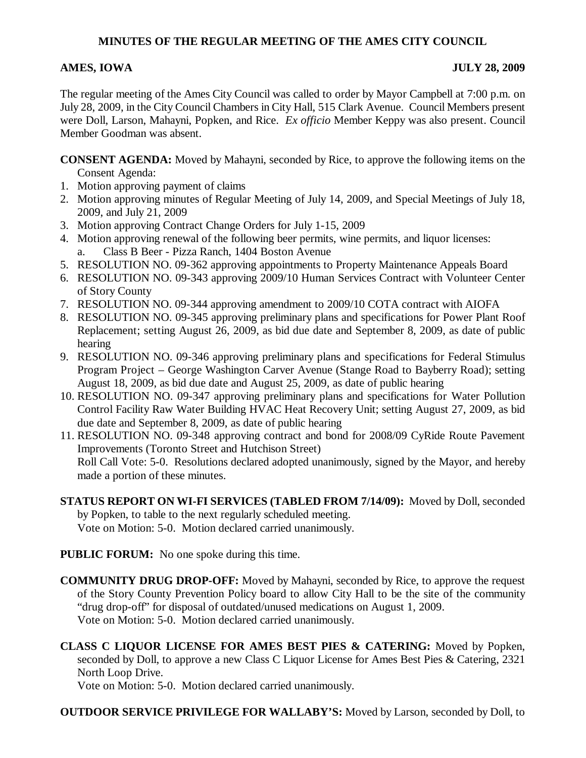# **MINUTES OF THE REGULAR MEETING OF THE AMES CITY COUNCIL**

# **AMES, IOWA JULY 28, 2009**

The regular meeting of the Ames City Council was called to order by Mayor Campbell at 7:00 p.m. on July 28, 2009, in the City Council Chambers in City Hall, 515 Clark Avenue. Council Members present were Doll, Larson, Mahayni, Popken, and Rice. *Ex officio* Member Keppy was also present. Council Member Goodman was absent.

**CONSENT AGENDA:** Moved by Mahayni, seconded by Rice, to approve the following items on the Consent Agenda:

- 1. Motion approving payment of claims
- 2. Motion approving minutes of Regular Meeting of July 14, 2009, and Special Meetings of July 18, 2009, and July 21, 2009
- 3. Motion approving Contract Change Orders for July 1-15, 2009
- 4. Motion approving renewal of the following beer permits, wine permits, and liquor licenses: a. Class B Beer - Pizza Ranch, 1404 Boston Avenue
- 5. RESOLUTION NO. 09-362 approving appointments to Property Maintenance Appeals Board
- 6. RESOLUTION NO. 09-343 approving 2009/10 Human Services Contract with Volunteer Center of Story County
- 7. RESOLUTION NO. 09-344 approving amendment to 2009/10 COTA contract with AIOFA
- 8. RESOLUTION NO. 09-345 approving preliminary plans and specifications for Power Plant Roof Replacement; setting August 26, 2009, as bid due date and September 8, 2009, as date of public hearing
- 9. RESOLUTION NO. 09-346 approving preliminary plans and specifications for Federal Stimulus Program Project – George Washington Carver Avenue (Stange Road to Bayberry Road); setting August 18, 2009, as bid due date and August 25, 2009, as date of public hearing
- 10. RESOLUTION NO. 09-347 approving preliminary plans and specifications for Water Pollution Control Facility Raw Water Building HVAC Heat Recovery Unit; setting August 27, 2009, as bid due date and September 8, 2009, as date of public hearing

11. RESOLUTION NO. 09-348 approving contract and bond for 2008/09 CyRide Route Pavement Improvements (Toronto Street and Hutchison Street) Roll Call Vote: 5-0. Resolutions declared adopted unanimously, signed by the Mayor, and hereby made a portion of these minutes.

**STATUS REPORT ON WI-FI SERVICES (TABLED FROM 7/14/09):** Moved by Doll, seconded by Popken, to table to the next regularly scheduled meeting. Vote on Motion: 5-0. Motion declared carried unanimously.

**PUBLIC FORUM:** No one spoke during this time.

**COMMUNITY DRUG DROP-OFF:** Moved by Mahayni, seconded by Rice, to approve the request of the Story County Prevention Policy board to allow City Hall to be the site of the community "drug drop-off" for disposal of outdated/unused medications on August 1, 2009. Vote on Motion: 5-0. Motion declared carried unanimously.

**CLASS C LIQUOR LICENSE FOR AMES BEST PIES & CATERING:** Moved by Popken, seconded by Doll, to approve a new Class C Liquor License for Ames Best Pies & Catering, 2321 North Loop Drive.

Vote on Motion: 5-0. Motion declared carried unanimously.

# **OUTDOOR SERVICE PRIVILEGE FOR WALLABY'S:** Moved by Larson, seconded by Doll, to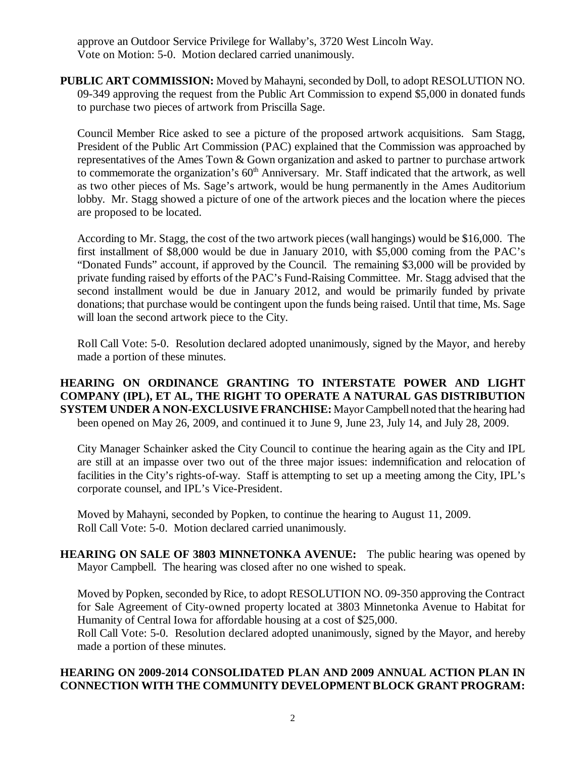approve an Outdoor Service Privilege for Wallaby's, 3720 West Lincoln Way. Vote on Motion: 5-0. Motion declared carried unanimously.

**PUBLIC ART COMMISSION:** Moved by Mahayni, seconded by Doll, to adopt RESOLUTION NO. 09-349 approving the request from the Public Art Commission to expend \$5,000 in donated funds to purchase two pieces of artwork from Priscilla Sage.

Council Member Rice asked to see a picture of the proposed artwork acquisitions. Sam Stagg, President of the Public Art Commission (PAC) explained that the Commission was approached by representatives of the Ames Town & Gown organization and asked to partner to purchase artwork to commemorate the organization's  $60<sup>th</sup>$  Anniversary. Mr. Staff indicated that the artwork, as well as two other pieces of Ms. Sage's artwork, would be hung permanently in the Ames Auditorium lobby. Mr. Stagg showed a picture of one of the artwork pieces and the location where the pieces are proposed to be located.

According to Mr. Stagg, the cost of the two artwork pieces (wall hangings) would be \$16,000. The first installment of \$8,000 would be due in January 2010, with \$5,000 coming from the PAC's "Donated Funds" account, if approved by the Council. The remaining \$3,000 will be provided by private funding raised by efforts of the PAC's Fund-Raising Committee. Mr. Stagg advised that the second installment would be due in January 2012, and would be primarily funded by private donations; that purchase would be contingent upon the funds being raised. Until that time, Ms. Sage will loan the second artwork piece to the City.

Roll Call Vote: 5-0. Resolution declared adopted unanimously, signed by the Mayor, and hereby made a portion of these minutes.

#### **HEARING ON ORDINANCE GRANTING TO INTERSTATE POWER AND LIGHT COMPANY (IPL), ET AL, THE RIGHT TO OPERATE A NATURAL GAS DISTRIBUTION SYSTEM UNDER A NON-EXCLUSIVE FRANCHISE:** Mayor Campbell noted that the hearing had been opened on May 26, 2009, and continued it to June 9, June 23, July 14, and July 28, 2009.

City Manager Schainker asked the City Council to continue the hearing again as the City and IPL are still at an impasse over two out of the three major issues: indemnification and relocation of facilities in the City's rights-of-way. Staff is attempting to set up a meeting among the City, IPL's corporate counsel, and IPL's Vice-President.

Moved by Mahayni, seconded by Popken, to continue the hearing to August 11, 2009. Roll Call Vote: 5-0. Motion declared carried unanimously.

**HEARING ON SALE OF 3803 MINNETONKA AVENUE:** The public hearing was opened by Mayor Campbell. The hearing was closed after no one wished to speak.

Moved by Popken, seconded by Rice, to adopt RESOLUTION NO. 09-350 approving the Contract for Sale Agreement of City-owned property located at 3803 Minnetonka Avenue to Habitat for Humanity of Central Iowa for affordable housing at a cost of \$25,000.

Roll Call Vote: 5-0. Resolution declared adopted unanimously, signed by the Mayor, and hereby made a portion of these minutes.

# **HEARING ON 2009-2014 CONSOLIDATED PLAN AND 2009 ANNUAL ACTION PLAN IN CONNECTION WITH THE COMMUNITY DEVELOPMENT BLOCK GRANT PROGRAM:**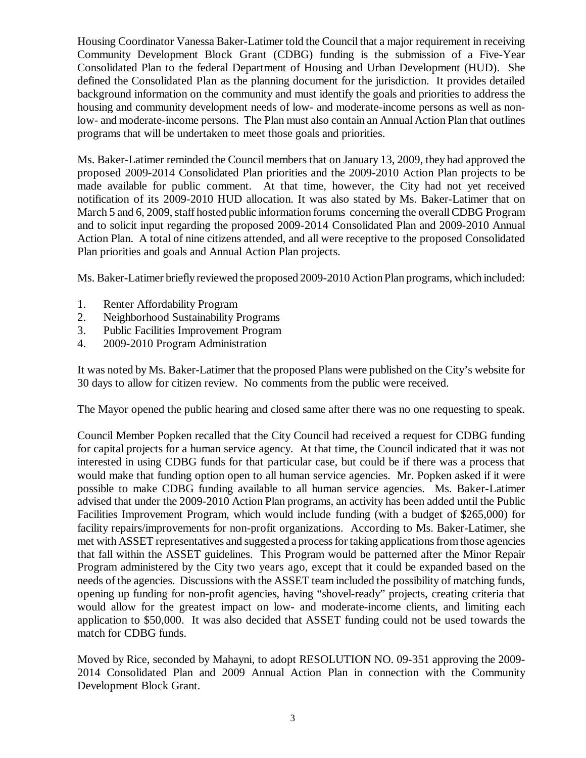Housing Coordinator Vanessa Baker-Latimer told the Council that a major requirement in receiving Community Development Block Grant (CDBG) funding is the submission of a Five-Year Consolidated Plan to the federal Department of Housing and Urban Development (HUD). She defined the Consolidated Plan as the planning document for the jurisdiction. It provides detailed background information on the community and must identify the goals and priorities to address the housing and community development needs of low- and moderate-income persons as well as nonlow- and moderate-income persons. The Plan must also contain an Annual Action Plan that outlines programs that will be undertaken to meet those goals and priorities.

Ms. Baker-Latimer reminded the Council members that on January 13, 2009, they had approved the proposed 2009-2014 Consolidated Plan priorities and the 2009-2010 Action Plan projects to be made available for public comment. At that time, however, the City had not yet received notification of its 2009-2010 HUD allocation. It was also stated by Ms. Baker-Latimer that on March 5 and 6, 2009, staff hosted public information forums concerning the overall CDBG Program and to solicit input regarding the proposed 2009-2014 Consolidated Plan and 2009-2010 Annual Action Plan. A total of nine citizens attended, and all were receptive to the proposed Consolidated Plan priorities and goals and Annual Action Plan projects.

Ms. Baker-Latimer briefly reviewed the proposed 2009-2010 Action Plan programs, which included:

- 1. Renter Affordability Program
- 2. Neighborhood Sustainability Programs
- 3. Public Facilities Improvement Program
- 4. 2009-2010 Program Administration

It was noted by Ms. Baker-Latimer that the proposed Plans were published on the City's website for 30 days to allow for citizen review. No comments from the public were received.

The Mayor opened the public hearing and closed same after there was no one requesting to speak.

Council Member Popken recalled that the City Council had received a request for CDBG funding for capital projects for a human service agency. At that time, the Council indicated that it was not interested in using CDBG funds for that particular case, but could be if there was a process that would make that funding option open to all human service agencies. Mr. Popken asked if it were possible to make CDBG funding available to all human service agencies. Ms. Baker-Latimer advised that under the 2009-2010 Action Plan programs, an activity has been added until the Public Facilities Improvement Program, which would include funding (with a budget of \$265,000) for facility repairs/improvements for non-profit organizations. According to Ms. Baker-Latimer, she met with ASSET representatives and suggested a process for taking applications from those agencies that fall within the ASSET guidelines. This Program would be patterned after the Minor Repair Program administered by the City two years ago, except that it could be expanded based on the needs of the agencies. Discussions with the ASSET team included the possibility of matching funds, opening up funding for non-profit agencies, having "shovel-ready" projects, creating criteria that would allow for the greatest impact on low- and moderate-income clients, and limiting each application to \$50,000. It was also decided that ASSET funding could not be used towards the match for CDBG funds.

Moved by Rice, seconded by Mahayni, to adopt RESOLUTION NO. 09-351 approving the 2009- 2014 Consolidated Plan and 2009 Annual Action Plan in connection with the Community Development Block Grant.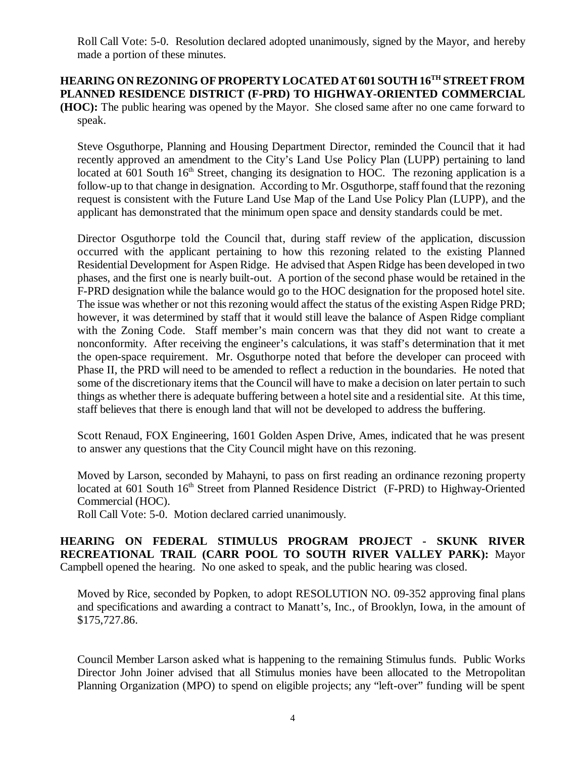Roll Call Vote: 5-0. Resolution declared adopted unanimously, signed by the Mayor, and hereby made a portion of these minutes.

# **HEARING ON REZONING OF PROPERTY LOCATED AT 601 SOUTH 16TH STREET FROM PLANNED RESIDENCE DISTRICT (F-PRD) TO HIGHWAY-ORIENTED COMMERCIAL**

**(HOC):** The public hearing was opened by the Mayor. She closed same after no one came forward to speak.

Steve Osguthorpe, Planning and Housing Department Director, reminded the Council that it had recently approved an amendment to the City's Land Use Policy Plan (LUPP) pertaining to land located at 601 South  $16<sup>th</sup>$  Street, changing its designation to HOC. The rezoning application is a follow-up to that change in designation. According to Mr. Osguthorpe, staff found that the rezoning request is consistent with the Future Land Use Map of the Land Use Policy Plan (LUPP), and the applicant has demonstrated that the minimum open space and density standards could be met.

Director Osguthorpe told the Council that, during staff review of the application, discussion occurred with the applicant pertaining to how this rezoning related to the existing Planned Residential Development for Aspen Ridge. He advised that Aspen Ridge has been developed in two phases, and the first one is nearly built-out. A portion of the second phase would be retained in the F-PRD designation while the balance would go to the HOC designation for the proposed hotel site. The issue was whether or not this rezoning would affect the status of the existing Aspen Ridge PRD; however, it was determined by staff that it would still leave the balance of Aspen Ridge compliant with the Zoning Code. Staff member's main concern was that they did not want to create a nonconformity. After receiving the engineer's calculations, it was staff's determination that it met the open-space requirement. Mr. Osguthorpe noted that before the developer can proceed with Phase II, the PRD will need to be amended to reflect a reduction in the boundaries. He noted that some of the discretionary items that the Council will have to make a decision on later pertain to such things as whether there is adequate buffering between a hotel site and a residential site. At this time, staff believes that there is enough land that will not be developed to address the buffering.

Scott Renaud, FOX Engineering, 1601 Golden Aspen Drive, Ames, indicated that he was present to answer any questions that the City Council might have on this rezoning.

Moved by Larson, seconded by Mahayni, to pass on first reading an ordinance rezoning property located at 601 South 16<sup>th</sup> Street from Planned Residence District (F-PRD) to Highway-Oriented Commercial (HOC).

Roll Call Vote: 5-0. Motion declared carried unanimously.

### **HEARING ON FEDERAL STIMULUS PROGRAM PROJECT - SKUNK RIVER RECREATIONAL TRAIL (CARR POOL TO SOUTH RIVER VALLEY PARK):** Mayor Campbell opened the hearing. No one asked to speak, and the public hearing was closed.

Moved by Rice, seconded by Popken, to adopt RESOLUTION NO. 09-352 approving final plans and specifications and awarding a contract to Manatt's, Inc., of Brooklyn, Iowa, in the amount of \$175,727.86.

Council Member Larson asked what is happening to the remaining Stimulus funds. Public Works Director John Joiner advised that all Stimulus monies have been allocated to the Metropolitan Planning Organization (MPO) to spend on eligible projects; any "left-over" funding will be spent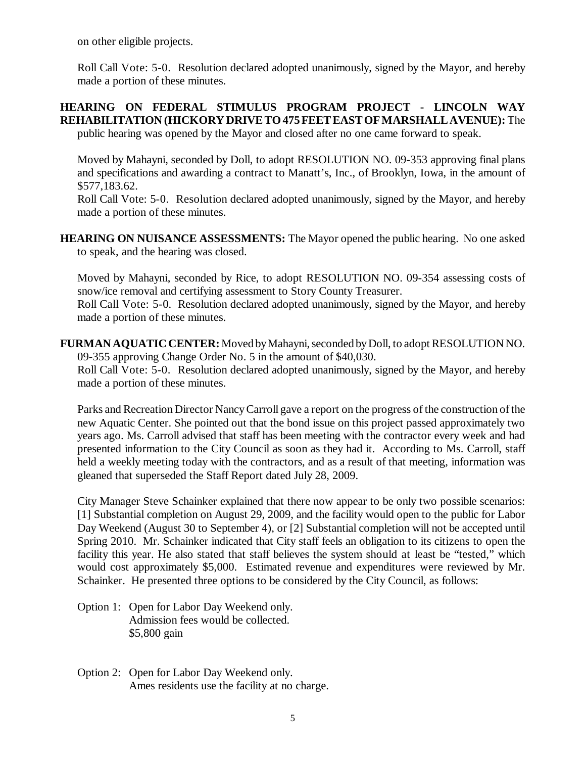on other eligible projects.

Roll Call Vote: 5-0. Resolution declared adopted unanimously, signed by the Mayor, and hereby made a portion of these minutes.

#### **HEARING ON FEDERAL STIMULUS PROGRAM PROJECT - LINCOLN WAY REHABILITATION (HICKORY DRIVE TO 475 FEET EAST OF MARSHALL AVENUE):** The public hearing was opened by the Mayor and closed after no one came forward to speak.

Moved by Mahayni, seconded by Doll, to adopt RESOLUTION NO. 09-353 approving final plans and specifications and awarding a contract to Manatt's, Inc., of Brooklyn, Iowa, in the amount of \$577,183.62.

Roll Call Vote: 5-0. Resolution declared adopted unanimously, signed by the Mayor, and hereby made a portion of these minutes.

**HEARING ON NUISANCE ASSESSMENTS:** The Mayor opened the public hearing. No one asked to speak, and the hearing was closed.

Moved by Mahayni, seconded by Rice, to adopt RESOLUTION NO. 09-354 assessing costs of snow/ice removal and certifying assessment to Story County Treasurer. Roll Call Vote: 5-0. Resolution declared adopted unanimously, signed by the Mayor, and hereby

made a portion of these minutes.

**FURMAN AQUATIC CENTER:** Moved by Mahayni, seconded by Doll, to adopt RESOLUTION NO. 09-355 approving Change Order No. 5 in the amount of \$40,030. Roll Call Vote: 5-0. Resolution declared adopted unanimously, signed by the Mayor, and hereby

made a portion of these minutes.

Parks and Recreation Director Nancy Carroll gave a report on the progress of the construction of the new Aquatic Center. She pointed out that the bond issue on this project passed approximately two years ago. Ms. Carroll advised that staff has been meeting with the contractor every week and had presented information to the City Council as soon as they had it. According to Ms. Carroll, staff held a weekly meeting today with the contractors, and as a result of that meeting, information was gleaned that superseded the Staff Report dated July 28, 2009.

City Manager Steve Schainker explained that there now appear to be only two possible scenarios: [1] Substantial completion on August 29, 2009, and the facility would open to the public for Labor Day Weekend (August 30 to September 4), or [2] Substantial completion will not be accepted until Spring 2010. Mr. Schainker indicated that City staff feels an obligation to its citizens to open the facility this year. He also stated that staff believes the system should at least be "tested," which would cost approximately \$5,000. Estimated revenue and expenditures were reviewed by Mr. Schainker. He presented three options to be considered by the City Council, as follows:

- Option 1: Open for Labor Day Weekend only. Admission fees would be collected. \$5,800 gain
- Option 2: Open for Labor Day Weekend only. Ames residents use the facility at no charge.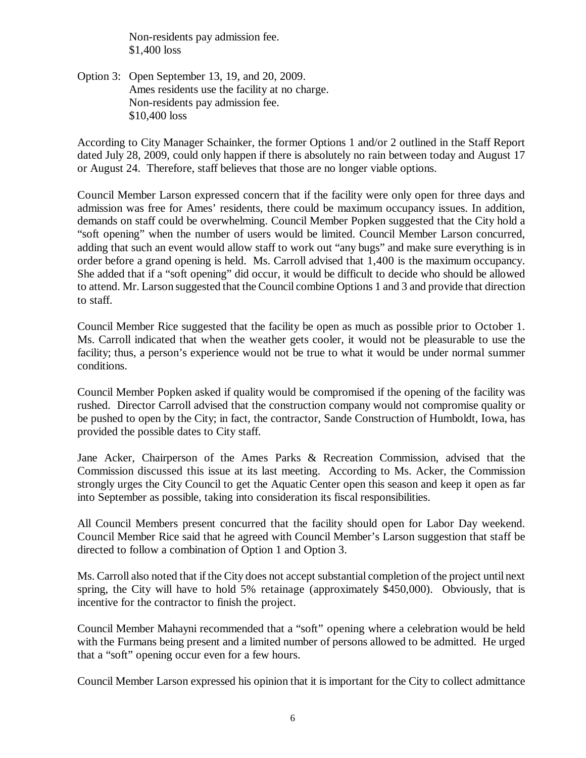Non-residents pay admission fee. \$1,400 loss

Option 3: Open September 13, 19, and 20, 2009. Ames residents use the facility at no charge. Non-residents pay admission fee. \$10,400 loss

According to City Manager Schainker, the former Options 1 and/or 2 outlined in the Staff Report dated July 28, 2009, could only happen if there is absolutely no rain between today and August 17 or August 24. Therefore, staff believes that those are no longer viable options.

Council Member Larson expressed concern that if the facility were only open for three days and admission was free for Ames' residents, there could be maximum occupancy issues. In addition, demands on staff could be overwhelming. Council Member Popken suggested that the City hold a "soft opening" when the number of users would be limited. Council Member Larson concurred, adding that such an event would allow staff to work out "any bugs" and make sure everything is in order before a grand opening is held. Ms. Carroll advised that 1,400 is the maximum occupancy. She added that if a "soft opening" did occur, it would be difficult to decide who should be allowed to attend. Mr. Larson suggested that the Council combine Options 1 and 3 and provide that direction to staff.

Council Member Rice suggested that the facility be open as much as possible prior to October 1. Ms. Carroll indicated that when the weather gets cooler, it would not be pleasurable to use the facility; thus, a person's experience would not be true to what it would be under normal summer conditions.

Council Member Popken asked if quality would be compromised if the opening of the facility was rushed. Director Carroll advised that the construction company would not compromise quality or be pushed to open by the City; in fact, the contractor, Sande Construction of Humboldt, Iowa, has provided the possible dates to City staff.

Jane Acker, Chairperson of the Ames Parks & Recreation Commission, advised that the Commission discussed this issue at its last meeting. According to Ms. Acker, the Commission strongly urges the City Council to get the Aquatic Center open this season and keep it open as far into September as possible, taking into consideration its fiscal responsibilities.

All Council Members present concurred that the facility should open for Labor Day weekend. Council Member Rice said that he agreed with Council Member's Larson suggestion that staff be directed to follow a combination of Option 1 and Option 3.

Ms. Carroll also noted that if the City does not accept substantial completion of the project until next spring, the City will have to hold 5% retainage (approximately \$450,000). Obviously, that is incentive for the contractor to finish the project.

Council Member Mahayni recommended that a "soft" opening where a celebration would be held with the Furmans being present and a limited number of persons allowed to be admitted. He urged that a "soft" opening occur even for a few hours.

Council Member Larson expressed his opinion that it is important for the City to collect admittance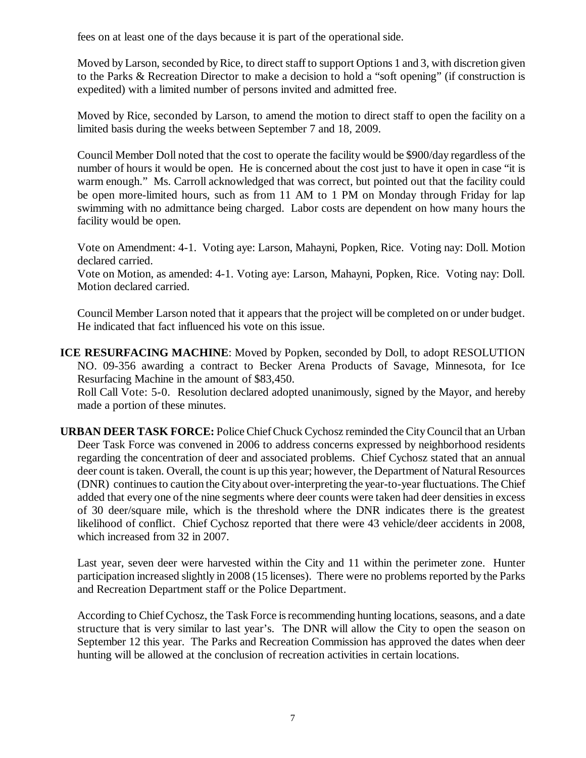fees on at least one of the days because it is part of the operational side.

Moved by Larson, seconded by Rice, to direct staff to support Options 1 and 3, with discretion given to the Parks & Recreation Director to make a decision to hold a "soft opening" (if construction is expedited) with a limited number of persons invited and admitted free.

Moved by Rice, seconded by Larson, to amend the motion to direct staff to open the facility on a limited basis during the weeks between September 7 and 18, 2009.

Council Member Doll noted that the cost to operate the facility would be \$900/day regardless of the number of hours it would be open. He is concerned about the cost just to have it open in case "it is warm enough." Ms. Carroll acknowledged that was correct, but pointed out that the facility could be open more-limited hours, such as from 11 AM to 1 PM on Monday through Friday for lap swimming with no admittance being charged. Labor costs are dependent on how many hours the facility would be open.

Vote on Amendment: 4-1. Voting aye: Larson, Mahayni, Popken, Rice. Voting nay: Doll. Motion declared carried.

Vote on Motion, as amended: 4-1. Voting aye: Larson, Mahayni, Popken, Rice. Voting nay: Doll. Motion declared carried.

Council Member Larson noted that it appears that the project will be completed on or under budget. He indicated that fact influenced his vote on this issue.

**ICE RESURFACING MACHINE**: Moved by Popken, seconded by Doll, to adopt RESOLUTION NO. 09-356 awarding a contract to Becker Arena Products of Savage, Minnesota, for Ice Resurfacing Machine in the amount of \$83,450.

Roll Call Vote: 5-0. Resolution declared adopted unanimously, signed by the Mayor, and hereby made a portion of these minutes.

**URBAN DEER TASK FORCE:** Police Chief Chuck Cychosz reminded the City Council that an Urban Deer Task Force was convened in 2006 to address concerns expressed by neighborhood residents regarding the concentration of deer and associated problems. Chief Cychosz stated that an annual deer count is taken. Overall, the count is up this year; however, the Department of Natural Resources (DNR) continues to caution the City about over-interpreting the year-to-year fluctuations. The Chief added that every one of the nine segments where deer counts were taken had deer densities in excess of 30 deer/square mile, which is the threshold where the DNR indicates there is the greatest likelihood of conflict. Chief Cychosz reported that there were 43 vehicle/deer accidents in 2008, which increased from 32 in 2007.

Last year, seven deer were harvested within the City and 11 within the perimeter zone. Hunter participation increased slightly in 2008 (15 licenses). There were no problems reported by the Parks and Recreation Department staff or the Police Department.

According to Chief Cychosz, the Task Force is recommending hunting locations, seasons, and a date structure that is very similar to last year's. The DNR will allow the City to open the season on September 12 this year. The Parks and Recreation Commission has approved the dates when deer hunting will be allowed at the conclusion of recreation activities in certain locations.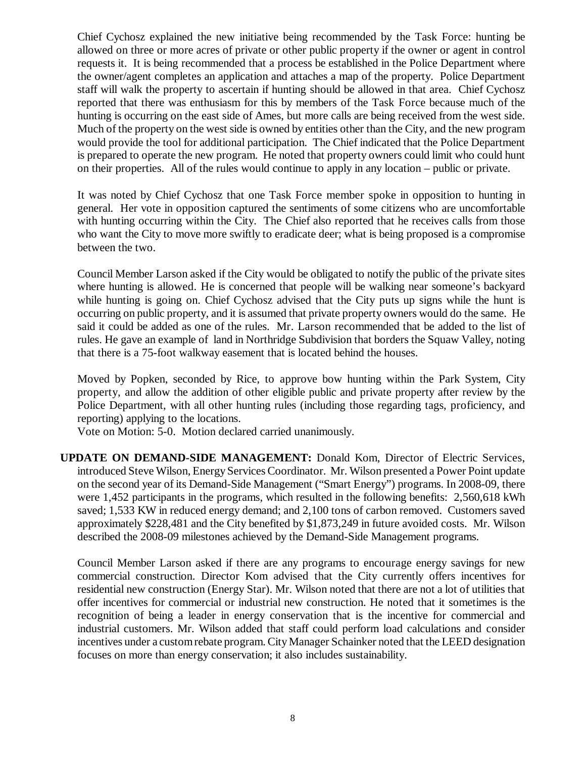Chief Cychosz explained the new initiative being recommended by the Task Force: hunting be allowed on three or more acres of private or other public property if the owner or agent in control requests it. It is being recommended that a process be established in the Police Department where the owner/agent completes an application and attaches a map of the property. Police Department staff will walk the property to ascertain if hunting should be allowed in that area. Chief Cychosz reported that there was enthusiasm for this by members of the Task Force because much of the hunting is occurring on the east side of Ames, but more calls are being received from the west side. Much of the property on the west side is owned by entities other than the City, and the new program would provide the tool for additional participation. The Chief indicated that the Police Department is prepared to operate the new program. He noted that property owners could limit who could hunt on their properties. All of the rules would continue to apply in any location – public or private.

It was noted by Chief Cychosz that one Task Force member spoke in opposition to hunting in general. Her vote in opposition captured the sentiments of some citizens who are uncomfortable with hunting occurring within the City. The Chief also reported that he receives calls from those who want the City to move more swiftly to eradicate deer; what is being proposed is a compromise between the two.

Council Member Larson asked if the City would be obligated to notify the public of the private sites where hunting is allowed. He is concerned that people will be walking near someone's backyard while hunting is going on. Chief Cychosz advised that the City puts up signs while the hunt is occurring on public property, and it is assumed that private property owners would do the same. He said it could be added as one of the rules. Mr. Larson recommended that be added to the list of rules. He gave an example of land in Northridge Subdivision that borders the Squaw Valley, noting that there is a 75-foot walkway easement that is located behind the houses.

Moved by Popken, seconded by Rice, to approve bow hunting within the Park System, City property, and allow the addition of other eligible public and private property after review by the Police Department, with all other hunting rules (including those regarding tags, proficiency, and reporting) applying to the locations.

Vote on Motion: 5-0. Motion declared carried unanimously.

**UPDATE ON DEMAND-SIDE MANAGEMENT:** Donald Kom, Director of Electric Services, introduced Steve Wilson, Energy Services Coordinator. Mr. Wilson presented a Power Point update on the second year of its Demand-Side Management ("Smart Energy") programs. In 2008-09, there were 1,452 participants in the programs, which resulted in the following benefits: 2,560,618 kWh saved; 1,533 KW in reduced energy demand; and 2,100 tons of carbon removed. Customers saved approximately \$228,481 and the City benefited by \$1,873,249 in future avoided costs. Mr. Wilson described the 2008-09 milestones achieved by the Demand-Side Management programs.

Council Member Larson asked if there are any programs to encourage energy savings for new commercial construction. Director Kom advised that the City currently offers incentives for residential new construction (Energy Star). Mr. Wilson noted that there are not a lot of utilities that offer incentives for commercial or industrial new construction. He noted that it sometimes is the recognition of being a leader in energy conservation that is the incentive for commercial and industrial customers. Mr. Wilson added that staff could perform load calculations and consider incentives under a custom rebate program. City Manager Schainker noted that the LEED designation focuses on more than energy conservation; it also includes sustainability.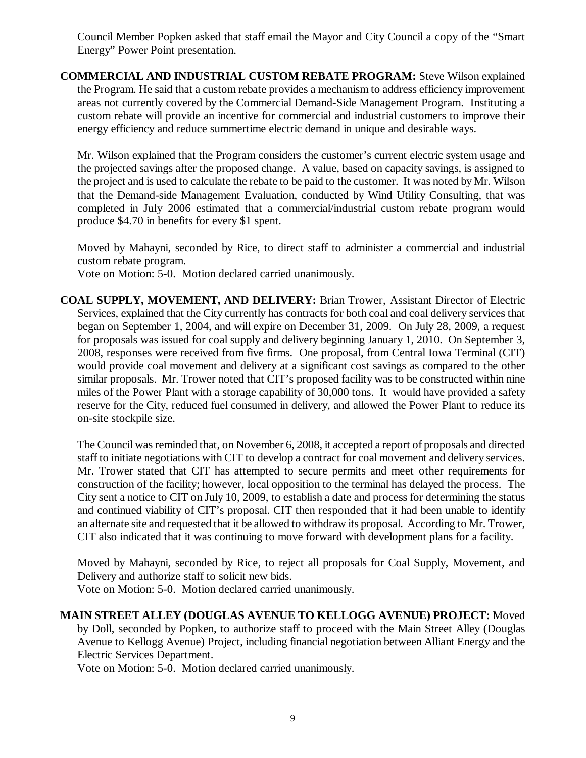Council Member Popken asked that staff email the Mayor and City Council a copy of the "Smart Energy" Power Point presentation.

**COMMERCIAL AND INDUSTRIAL CUSTOM REBATE PROGRAM:** Steve Wilson explained the Program. He said that a custom rebate provides a mechanism to address efficiency improvement areas not currently covered by the Commercial Demand-Side Management Program. Instituting a custom rebate will provide an incentive for commercial and industrial customers to improve their energy efficiency and reduce summertime electric demand in unique and desirable ways.

Mr. Wilson explained that the Program considers the customer's current electric system usage and the projected savings after the proposed change. A value, based on capacity savings, is assigned to the project and is used to calculate the rebate to be paid to the customer. It was noted by Mr. Wilson that the Demand-side Management Evaluation, conducted by Wind Utility Consulting, that was completed in July 2006 estimated that a commercial/industrial custom rebate program would produce \$4.70 in benefits for every \$1 spent.

Moved by Mahayni, seconded by Rice, to direct staff to administer a commercial and industrial custom rebate program.

Vote on Motion: 5-0. Motion declared carried unanimously.

**COAL SUPPLY, MOVEMENT, AND DELIVERY:** Brian Trower, Assistant Director of Electric Services, explained that the City currently has contracts for both coal and coal delivery services that began on September 1, 2004, and will expire on December 31, 2009. On July 28, 2009, a request for proposals was issued for coal supply and delivery beginning January 1, 2010. On September 3, 2008, responses were received from five firms. One proposal, from Central Iowa Terminal (CIT) would provide coal movement and delivery at a significant cost savings as compared to the other similar proposals. Mr. Trower noted that CIT's proposed facility was to be constructed within nine miles of the Power Plant with a storage capability of 30,000 tons. It would have provided a safety reserve for the City, reduced fuel consumed in delivery, and allowed the Power Plant to reduce its on-site stockpile size.

The Council was reminded that, on November 6, 2008, it accepted a report of proposals and directed staff to initiate negotiations with CIT to develop a contract for coal movement and delivery services. Mr. Trower stated that CIT has attempted to secure permits and meet other requirements for construction of the facility; however, local opposition to the terminal has delayed the process. The City sent a notice to CIT on July 10, 2009, to establish a date and process for determining the status and continued viability of CIT's proposal. CIT then responded that it had been unable to identify an alternate site and requested that it be allowed to withdraw its proposal. According to Mr. Trower, CIT also indicated that it was continuing to move forward with development plans for a facility.

Moved by Mahayni, seconded by Rice, to reject all proposals for Coal Supply, Movement, and Delivery and authorize staff to solicit new bids.

Vote on Motion: 5-0. Motion declared carried unanimously.

**MAIN STREET ALLEY (DOUGLAS AVENUE TO KELLOGG AVENUE) PROJECT:** Moved by Doll, seconded by Popken, to authorize staff to proceed with the Main Street Alley (Douglas Avenue to Kellogg Avenue) Project, including financial negotiation between Alliant Energy and the Electric Services Department.

Vote on Motion: 5-0. Motion declared carried unanimously.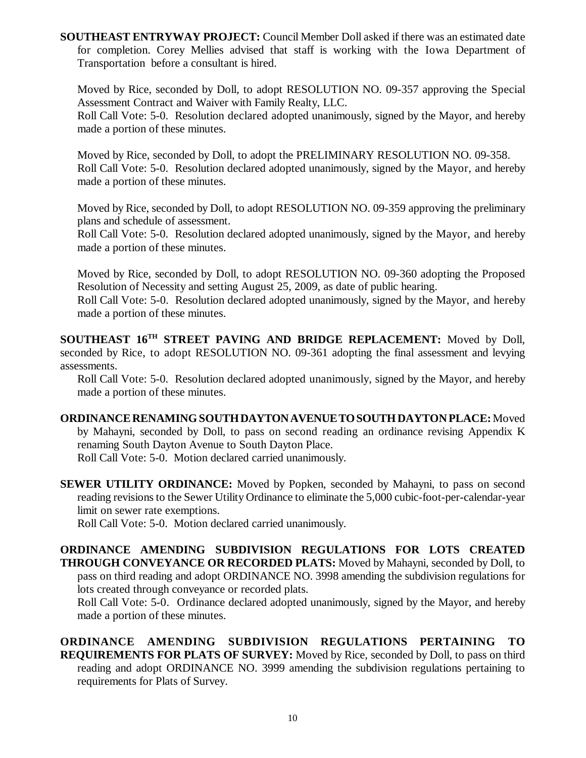**SOUTHEAST ENTRYWAY PROJECT:** Council Member Doll asked if there was an estimated date for completion. Corey Mellies advised that staff is working with the Iowa Department of Transportation before a consultant is hired.

Moved by Rice, seconded by Doll, to adopt RESOLUTION NO. 09-357 approving the Special Assessment Contract and Waiver with Family Realty, LLC.

Roll Call Vote: 5-0. Resolution declared adopted unanimously, signed by the Mayor, and hereby made a portion of these minutes.

Moved by Rice, seconded by Doll, to adopt the PRELIMINARY RESOLUTION NO. 09-358. Roll Call Vote: 5-0. Resolution declared adopted unanimously, signed by the Mayor, and hereby made a portion of these minutes.

Moved by Rice, seconded by Doll, to adopt RESOLUTION NO. 09-359 approving the preliminary plans and schedule of assessment.

Roll Call Vote: 5-0. Resolution declared adopted unanimously, signed by the Mayor, and hereby made a portion of these minutes.

Moved by Rice, seconded by Doll, to adopt RESOLUTION NO. 09-360 adopting the Proposed Resolution of Necessity and setting August 25, 2009, as date of public hearing.

Roll Call Vote: 5-0. Resolution declared adopted unanimously, signed by the Mayor, and hereby made a portion of these minutes.

**SOUTHEAST 16TH STREET PAVING AND BRIDGE REPLACEMENT:** Moved by Doll, seconded by Rice, to adopt RESOLUTION NO. 09-361 adopting the final assessment and levying assessments.

Roll Call Vote: 5-0. Resolution declared adopted unanimously, signed by the Mayor, and hereby made a portion of these minutes.

**ORDINANCE RENAMING SOUTH DAYTON AVENUE TO SOUTH DAYTON PLACE:** Moved by Mahayni, seconded by Doll, to pass on second reading an ordinance revising Appendix K renaming South Dayton Avenue to South Dayton Place.

Roll Call Vote: 5-0. Motion declared carried unanimously.

**SEWER UTILITY ORDINANCE:** Moved by Popken, seconded by Mahayni, to pass on second reading revisions to the Sewer Utility Ordinance to eliminate the 5,000 cubic-foot-per-calendar-year limit on sewer rate exemptions.

Roll Call Vote: 5-0. Motion declared carried unanimously.

**ORDINANCE AMENDING SUBDIVISION REGULATIONS FOR LOTS CREATED THROUGH CONVEYANCE OR RECORDED PLATS:** Moved by Mahayni, seconded by Doll, to pass on third reading and adopt ORDINANCE NO. 3998 amending the subdivision regulations for lots created through conveyance or recorded plats.

Roll Call Vote: 5-0. Ordinance declared adopted unanimously, signed by the Mayor, and hereby made a portion of these minutes.

**ORDINANCE AMENDING SUBDIVISION REGULATIONS PERTAINING TO REQUIREMENTS FOR PLATS OF SURVEY:** Moved by Rice, seconded by Doll, to pass on third reading and adopt ORDINANCE NO. 3999 amending the subdivision regulations pertaining to requirements for Plats of Survey.